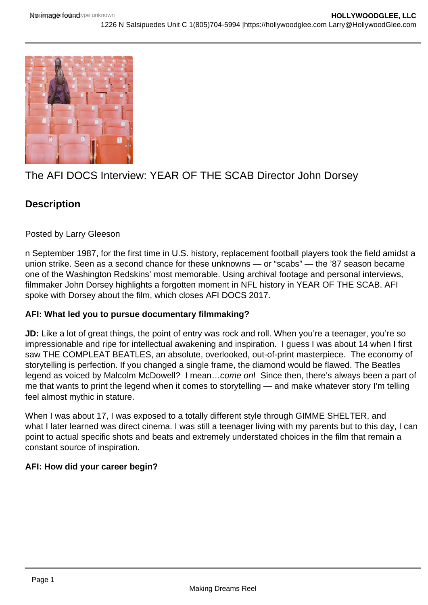

# The AFI DOCS Interview: YEAR OF THE SCAB Director John Dorsey

# **Description**

## Posted by Larry Gleeson

n September 1987, for the first time in U.S. history, replacement football players took the field amidst a union strike. Seen as a second chance for these unknowns — or "scabs" — the '87 season became one of the Washington Redskins' most memorable. Using archival footage and personal interviews, filmmaker John Dorsey highlights a forgotten moment in NFL history in YEAR OF THE SCAB. AFI spoke with Dorsey about the film, which closes AFI DOCS 2017.

# **AFI: What led you to pursue documentary filmmaking?**

**JD:** Like a lot of great things, the point of entry was rock and roll. When you're a teenager, you're so impressionable and ripe for intellectual awakening and inspiration. I guess I was about 14 when I first saw THE COMPLEAT BEATLES, an absolute, overlooked, out-of-print masterpiece. The economy of storytelling is perfection. If you changed a single frame, the diamond would be flawed. The Beatles legend as voiced by Malcolm McDowell? I mean…come on! Since then, there's always been a part of me that wants to print the legend when it comes to storytelling — and make whatever story I'm telling feel almost mythic in stature.

When I was about 17, I was exposed to a totally different style through GIMME SHELTER, and what I later learned was direct cinema. I was still a teenager living with my parents but to this day, I can point to actual specific shots and beats and extremely understated choices in the film that remain a constant source of inspiration.

# **AFI: How did your career begin?**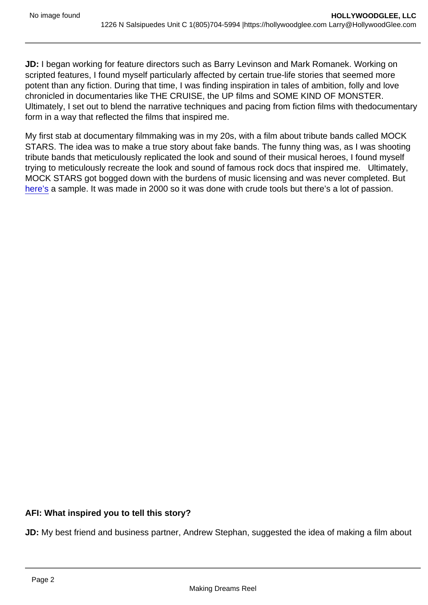JD: I began working for feature directors such as Barry Levinson and Mark Romanek. Working on scripted features, I found myself particularly affected by certain true-life stories that seemed more potent than any fiction. During that time, I was finding inspiration in tales of ambition, folly and love chronicled in documentaries like THE CRUISE, the UP films and SOME KIND OF MONSTER. Ultimately, I set out to blend the narrative techniques and pacing from fiction films with thedocumentary form in a way that reflected the films that inspired me.

My first stab at documentary filmmaking was in my 20s, with a film about tribute bands called MOCK STARS. The idea was to make a true story about fake bands. The funny thing was, as I was shooting tribute bands that meticulously replicated the look and sound of their musical heroes, I found myself trying to meticulously recreate the look and sound of famous rock docs that inspired me. Ultimately, MOCK STARS got bogged down with the burdens of music licensing and was never completed. But [here's](https://www.youtube.com/watch?v=iJPnXM_yvm8) a sample. It was made in 2000 so it was done with crude tools but there's a lot of passion.

AFI: What inspired you to tell this story?

JD: My best friend and business partner, Andrew Stephan, suggested the idea of making a film about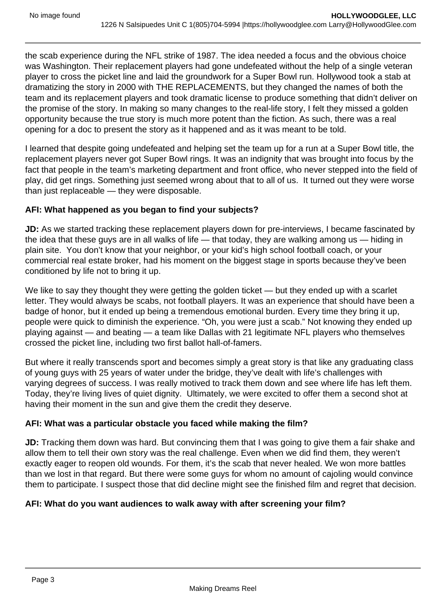the scab experience during the NFL strike of 1987. The idea needed a focus and the obvious choice was Washington. Their replacement players had gone undefeated without the help of a single veteran player to cross the picket line and laid the groundwork for a Super Bowl run. Hollywood took a stab at dramatizing the story in 2000 with THE REPLACEMENTS, but they changed the names of both the team and its replacement players and took dramatic license to produce something that didn't deliver on the promise of the story. In making so many changes to the real-life story, I felt they missed a golden opportunity because the true story is much more potent than the fiction. As such, there was a real opening for a doc to present the story as it happened and as it was meant to be told.

I learned that despite going undefeated and helping set the team up for a run at a Super Bowl title, the replacement players never got Super Bowl rings. It was an indignity that was brought into focus by the fact that people in the team's marketing department and front office, who never stepped into the field of play, did get rings. Something just seemed wrong about that to all of us. It turned out they were worse than just replaceable — they were disposable.

## **AFI: What happened as you began to find your subjects?**

**JD:** As we started tracking these replacement players down for pre-interviews, I became fascinated by the idea that these guys are in all walks of life — that today, they are walking among us — hiding in plain site. You don't know that your neighbor, or your kid's high school football coach, or your commercial real estate broker, had his moment on the biggest stage in sports because they've been conditioned by life not to bring it up.

We like to say they thought they were getting the golden ticket — but they ended up with a scarlet letter. They would always be scabs, not football players. It was an experience that should have been a badge of honor, but it ended up being a tremendous emotional burden. Every time they bring it up, people were quick to diminish the experience. "Oh, you were just a scab." Not knowing they ended up playing against — and beating — a team like Dallas with 21 legitimate NFL players who themselves crossed the picket line, including two first ballot hall-of-famers.

But where it really transcends sport and becomes simply a great story is that like any graduating class of young guys with 25 years of water under the bridge, they've dealt with life's challenges with varying degrees of success. I was really motived to track them down and see where life has left them. Today, they're living lives of quiet dignity. Ultimately, we were excited to offer them a second shot at having their moment in the sun and give them the credit they deserve.

#### **AFI: What was a particular obstacle you faced while making the film?**

**JD:** Tracking them down was hard. But convincing them that I was going to give them a fair shake and allow them to tell their own story was the real challenge. Even when we did find them, they weren't exactly eager to reopen old wounds. For them, it's the scab that never healed. We won more battles than we lost in that regard. But there were some guys for whom no amount of cajoling would convince them to participate. I suspect those that did decline might see the finished film and regret that decision.

# **AFI: What do you want audiences to walk away with after screening your film?**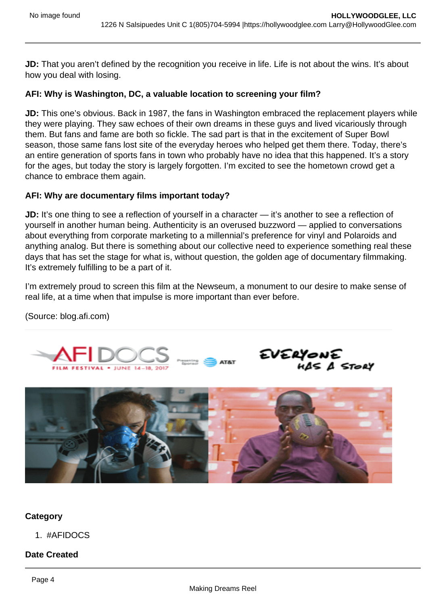**JD:** That you aren't defined by the recognition you receive in life. Life is not about the wins. It's about how you deal with losing.

#### **AFI: Why is Washington, DC, a valuable location to screening your film?**

**JD:** This one's obvious. Back in 1987, the fans in Washington embraced the replacement players while they were playing. They saw echoes of their own dreams in these guys and lived vicariously through them. But fans and fame are both so fickle. The sad part is that in the excitement of Super Bowl season, those same fans lost site of the everyday heroes who helped get them there. Today, there's an entire generation of sports fans in town who probably have no idea that this happened. It's a story for the ages, but today the story is largely forgotten. I'm excited to see the hometown crowd get a chance to embrace them again.

#### **AFI: Why are documentary films important today?**

**JD:** It's one thing to see a reflection of yourself in a character — it's another to see a reflection of yourself in another human being. Authenticity is an overused buzzword — applied to conversations about everything from corporate marketing to a millennial's preference for vinyl and Polaroids and anything analog. But there is something about our collective need to experience something real these days that has set the stage for what is, without question, the golden age of documentary filmmaking. It's extremely fulfilling to be a part of it.

I'm extremely proud to screen this film at the Newseum, a monument to our desire to make sense of real life, at a time when that impulse is more important than ever before.

(Source: blog.afi.com)





#### **Category**

1. #AFIDOCS

#### **Date Created**